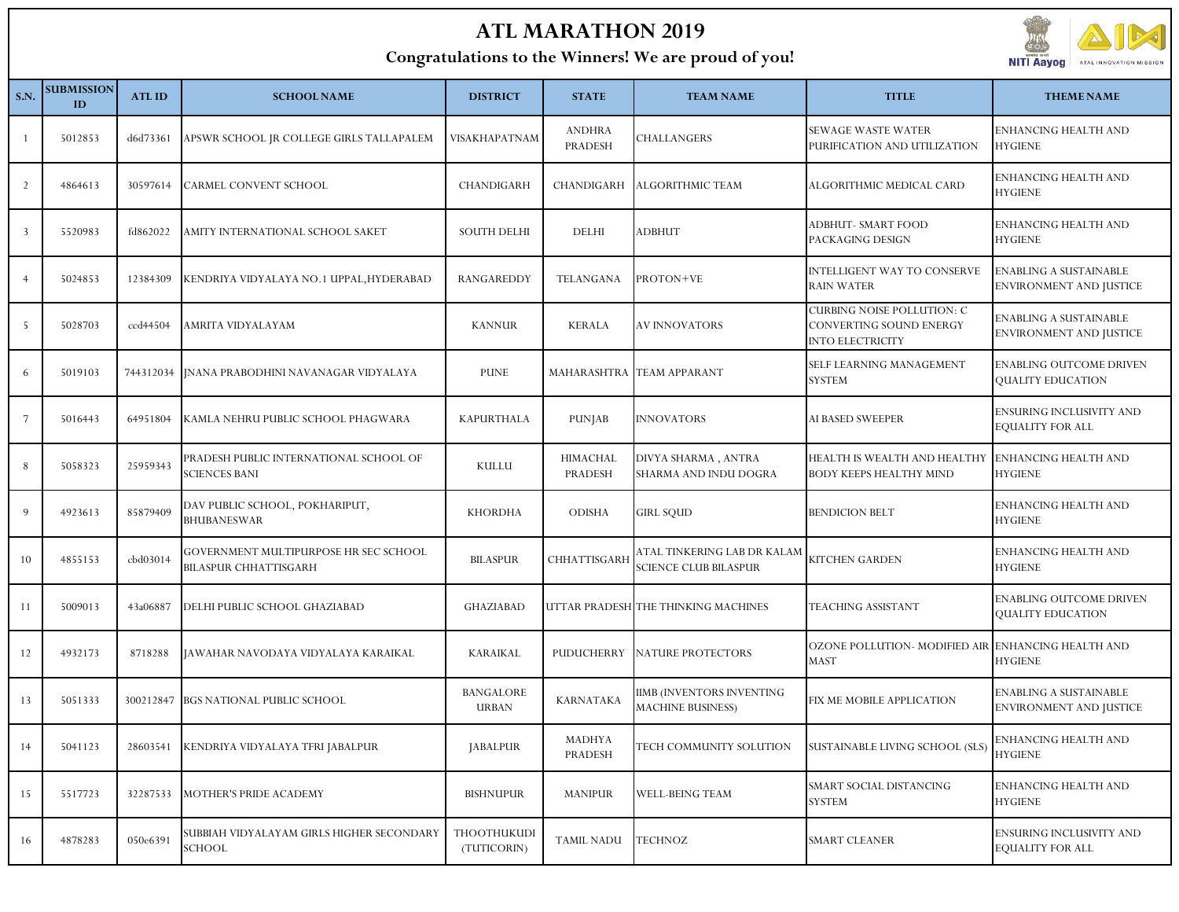## **ATL MARATHON 2019**

## **Congratulations to the Winners! We are proud of you!**



| <b>S.N.</b>    | <b>SUBMISSION</b><br>ID | <b>ATLID</b> | <b>SCHOOL NAME</b>                                                    | <b>DISTRICT</b>                   | <b>STATE</b>             | <b>TEAM NAME</b>                                            | <b>TITLE</b>                                                                     | <b>THEME NAME</b>                                        |
|----------------|-------------------------|--------------|-----------------------------------------------------------------------|-----------------------------------|--------------------------|-------------------------------------------------------------|----------------------------------------------------------------------------------|----------------------------------------------------------|
| - 1            | 5012853                 | d6d73361     | APSWR SCHOOL JR COLLEGE GIRLS TALLAPALEM                              | VISAKHAPATNAM                     | <b>ANDHRA</b><br>PRADESH | CHALLANGERS                                                 | SEWAGE WASTE WATER<br>PURIFICATION AND UTILIZATION                               | ENHANCING HEALTH AND<br><b>HYGIENE</b>                   |
| 2              | 4864613                 | 30597614     | <b>CARMEL CONVENT SCHOOL</b>                                          | CHANDIGARH                        | CHANDIGARH               | ALGORITHMIC TEAM                                            | ALGORITHMIC MEDICAL CARD                                                         | ENHANCING HEALTH AND<br><b>HYGIENE</b>                   |
| $\overline{3}$ | 5520983                 | fd862022     | AMITY INTERNATIONAL SCHOOL SAKET                                      | <b>SOUTH DELHI</b>                | DELHI                    | ADBHUT                                                      | ADBHUT- SMART FOOD<br>PACKAGING DESIGN                                           | ENHANCING HEALTH AND<br><b>HYGIENE</b>                   |
| $\overline{4}$ | 5024853                 | 12384309     | KENDRIYA VIDYALAYA NO.1 UPPAL, HYDERABAD                              | RANGAREDDY                        | TELANGANA                | PROTON+VE                                                   | <b>INTELLIGENT WAY TO CONSERVE</b><br><b>RAIN WATER</b>                          | ENABLING A SUSTAINABLE<br><b>ENVIRONMENT AND JUSTICE</b> |
| - 5            | 5028703                 | ccd44504     | AMRITA VIDYALAYAM                                                     | <b>KANNUR</b>                     | <b>KERALA</b>            | <b>AV INNOVATORS</b>                                        | <b>CURBING NOISE POLLUTION: C</b><br>CONVERTING SOUND ENERGY<br>INTO ELECTRICITY | ENABLING A SUSTAINABLE<br>ENVIRONMENT AND JUSTICE        |
| 6              | 5019103                 |              | 744312034   [NANA PRABODHINI NAVANAGAR VIDYALAYA                      | <b>PUNE</b>                       |                          | MAHARASHTRA TEAM APPARANT                                   | SELF LEARNING MANAGEMENT<br>SYSTEM                                               | <b>ENABLING OUTCOME DRIVEN</b><br>QUALITY EDUCATION      |
| 7              | 5016443                 | 64951804     | KAMLA NEHRU PUBLIC SCHOOL PHAGWARA                                    | KAPURTHALA                        | <b>PUNJAB</b>            | <b>INNOVATORS</b>                                           | AI BASED SWEEPER                                                                 | ENSURING INCLUSIVITY AND<br>EQUALITY FOR ALL             |
| 8              | 5058323                 | 25959343     | PRADESH PUBLIC INTERNATIONAL SCHOOL OF<br><b>SCIENCES BANI</b>        | KULLU                             | HIMACHAL<br>PRADESH      | DIVYA SHARMA, ANTRA<br>SHARMA AND INDU DOGRA                | HEALTH IS WEALTH AND HEALTHY<br>BODY KEEPS HEALTHY MIND                          | ENHANCING HEALTH AND<br><b>HYGIENE</b>                   |
| 9              | 4923613                 | 85879409     | DAV PUBLIC SCHOOL, POKHARIPUT,<br><b>BHUBANESWAR</b>                  | <b>KHORDHA</b>                    | <b>ODISHA</b>            | <b>GIRL SQUD</b>                                            | <b>BENDICION BELT</b>                                                            | ENHANCING HEALTH AND<br><b>HYGIENE</b>                   |
| 10             | 4855153                 | cbd03014     | GOVERNMENT MULTIPURPOSE HR SEC SCHOOL<br><b>BILASPUR CHHATTISGARH</b> | <b>BILASPUR</b>                   | CHHATTISGARH             | ATAL TINKERING LAB DR KALAM<br><b>SCIENCE CLUB BILASPUR</b> | KITCHEN GARDEN                                                                   | ENHANCING HEALTH AND<br><b>HYGIENE</b>                   |
| -11            | 5009013                 | 43a06887     | DELHI PUBLIC SCHOOL GHAZIABAD                                         | <b>GHAZIABAD</b>                  |                          | UTTAR PRADESH THE THINKING MACHINES                         | TEACHING ASSISTANT                                                               | <b>ENABLING OUTCOME DRIVEN</b><br>QUALITY EDUCATION      |
| 12             | 4932173                 | 8718288      | JAWAHAR NAVODAYA VIDYALAYA KARAIKAL                                   | <b>KARAIKAL</b>                   | PUDUCHERRY               | NATURE PROTECTORS                                           | OZONE POLLUTION- MODIFIED AIR<br>MAST                                            | <b>ENHANCING HEALTH AND</b><br><b>HYGIENE</b>            |
| 13             | 5051333                 |              | 300212847 BGS NATIONAL PUBLIC SCHOOL                                  | <b>BANGALORE</b><br><b>URBAN</b>  | <b>KARNATAKA</b>         | IIMB (INVENTORS INVENTING<br><b>MACHINE BUSINESS)</b>       | FIX ME MOBILE APPLICATION                                                        | ENABLING A SUSTAINABLE<br>ENVIRONMENT AND JUSTICE        |
|                | 5041123                 |              | 28603541 KENDRIYA VIDYALAYA TFRI JABALPUR                             | <b>JABALPUR</b>                   | <b>MADHYA</b><br>PRADESH |                                                             | TECH COMMUNITY SOLUTION SUSTAINABLE LIVING SCHOOL (SLS) ENHANCING HEALTH AND     | <b>HYGIENE</b>                                           |
| 15             | 5517723                 | 32287533     | MOTHER'S PRIDE ACADEMY                                                | <b>BISHNUPUR</b>                  | <b>MANIPUR</b>           | <b>WELL-BEING TEAM</b>                                      | SMART SOCIAL DISTANCING<br><b>SYSTEM</b>                                         | ENHANCING HEALTH AND<br><b>HYGIENE</b>                   |
| 16             | 4878283                 | 050e6391     | SUBBIAH VIDYALAYAM GIRLS HIGHER SECONDARY<br><b>SCHOOL</b>            | <b>THOOTHUKUDI</b><br>(TUTICORIN) | <b>TAMIL NADU</b>        | <b>TECHNOZ</b>                                              | SMART CLEANER                                                                    | ENSURING INCLUSIVITY AND<br><b>EQUALITY FOR ALL</b>      |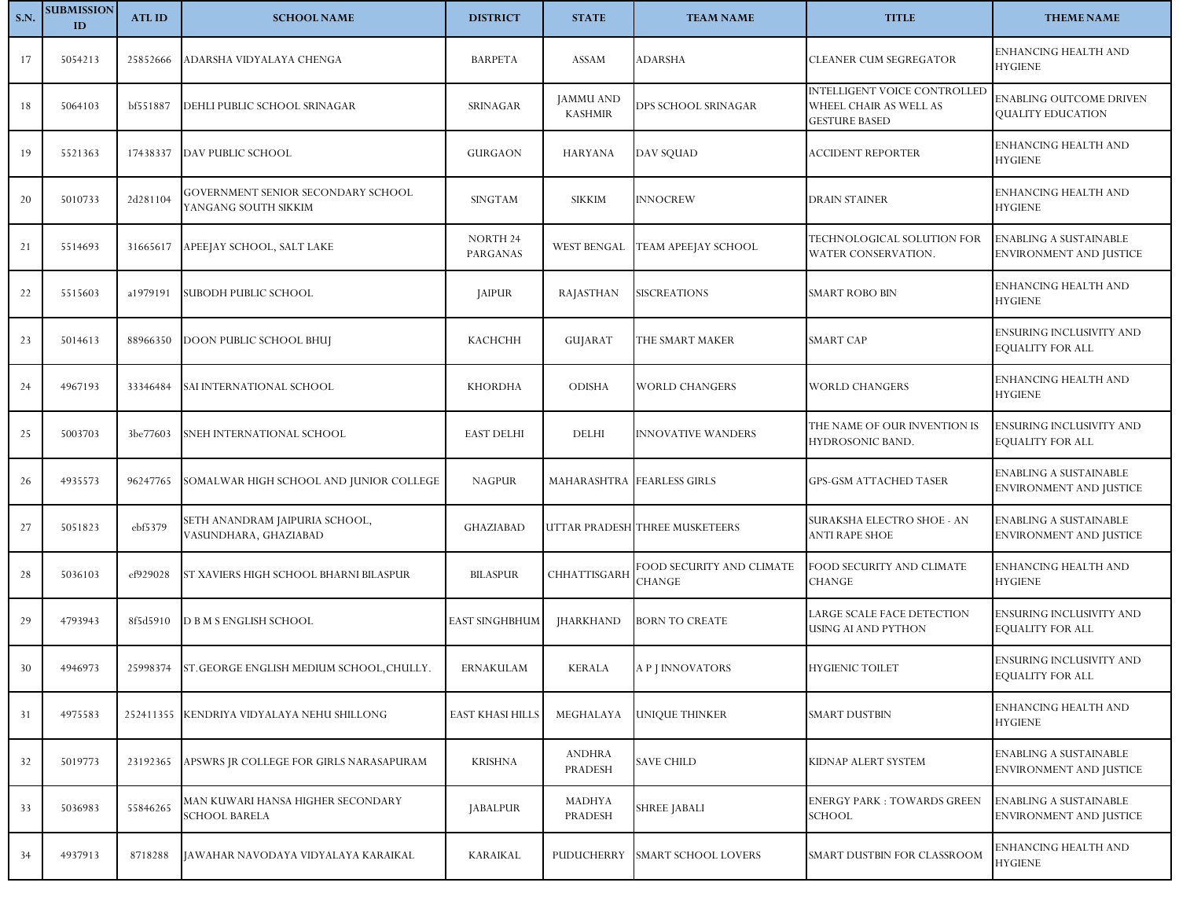| <b>S.N.</b> | <b>SUBMISSION</b><br>ID | <b>ATLID</b> | <b>SCHOOL NAME</b>                                         | <b>DISTRICT</b>             | <b>STATE</b>                       | <b>TEAM NAME</b>                    | <b>TITLE</b>                                                                          | <b>THEME NAME</b>                                        |
|-------------|-------------------------|--------------|------------------------------------------------------------|-----------------------------|------------------------------------|-------------------------------------|---------------------------------------------------------------------------------------|----------------------------------------------------------|
| 17          | 5054213                 | 25852666     | ADARSHA VIDYALAYA CHENGA                                   | <b>BARPETA</b>              | ASSAM                              | ADARSHA                             | CLEANER CUM SEGREGATOR                                                                | ENHANCING HEALTH AND<br><b>HYGIENE</b>                   |
| 18          | 5064103                 | bf551887     | DEHLI PUBLIC SCHOOL SRINAGAR                               | SRINAGAR                    | <b>JAMMU AND</b><br><b>KASHMIR</b> | DPS SCHOOL SRINAGAR                 | <b>INTELLIGENT VOICE CONTROLLED</b><br>WHEEL CHAIR AS WELL AS<br><b>GESTURE BASED</b> | ENABLING OUTCOME DRIVEN<br>QUALITY EDUCATION             |
| 19          | 5521363                 | 17438337     | DAV PUBLIC SCHOOL                                          | <b>GURGAON</b>              | <b>HARYANA</b>                     | DAV SQUAD                           | <b>ACCIDENT REPORTER</b>                                                              | ENHANCING HEALTH AND<br><b>HYGIENE</b>                   |
| 20          | 5010733                 | 2d281104     | GOVERNMENT SENIOR SECONDARY SCHOOL<br>YANGANG SOUTH SIKKIM | <b>SINGTAM</b>              | <b>SIKKIM</b>                      | <b>INNOCREW</b>                     | <b>DRAIN STAINER</b>                                                                  | ENHANCING HEALTH AND<br><b>HYGIENE</b>                   |
| 21          | 5514693                 | 31665617     | APEEJAY SCHOOL, SALT LAKE                                  | <b>NORTH 24</b><br>PARGANAS | WEST BENGAL                        | TEAM APEEJAY SCHOOL                 | TECHNOLOGICAL SOLUTION FOR<br>WATER CONSERVATION.                                     | ENABLING A SUSTAINABLE<br>ENVIRONMENT AND JUSTICE        |
| 22          | 5515603                 | a1979191     | SUBODH PUBLIC SCHOOL                                       | <b>JAIPUR</b>               | RAJASTHAN                          | <b>SISCREATIONS</b>                 | SMART ROBO BIN                                                                        | ENHANCING HEALTH AND<br><b>HYGIENE</b>                   |
| 23          | 5014613                 | 88966350     | <b>DOON PUBLIC SCHOOL BHUJ</b>                             | <b>KACHCHH</b>              | GUJARAT                            | THE SMART MAKER                     | <b>SMART CAP</b>                                                                      | ENSURING INCLUSIVITY AND<br><b>EQUALITY FOR ALL</b>      |
| 24          | 4967193                 | 33346484     | SAI INTERNATIONAL SCHOOL                                   | <b>KHORDHA</b>              | <b>ODISHA</b>                      | WORLD CHANGERS                      | <b>WORLD CHANGERS</b>                                                                 | ENHANCING HEALTH AND<br><b>HYGIENE</b>                   |
| 25          | 5003703                 | 3be77603     | SNEH INTERNATIONAL SCHOOL                                  | <b>EAST DELHI</b>           | DELHI                              | <b>INNOVATIVE WANDERS</b>           | THE NAME OF OUR INVENTION IS<br>HYDROSONIC BAND.                                      | ENSURING INCLUSIVITY AND<br>EQUALITY FOR ALL             |
| 26          | 4935573                 | 96247765     | SOMALWAR HIGH SCHOOL AND JUNIOR COLLEGE                    | <b>NAGPUR</b>               | MAHARASHTRA FEARLESS GIRLS         |                                     | <b>GPS-GSM ATTACHED TASER</b>                                                         | <b>ENABLING A SUSTAINABLE</b><br>ENVIRONMENT AND JUSTICE |
| 27          | 5051823                 | ebf5379      | SETH ANANDRAM JAIPURIA SCHOOL,<br>VASUNDHARA, GHAZIABAD    | <b>GHAZIABAD</b>            |                                    | UTTAR PRADESH THREE MUSKETEERS      | SURAKSHA ELECTRO SHOE - AN<br>ANTI RAPE SHOE                                          | <b>ENABLING A SUSTAINABLE</b><br>ENVIRONMENT AND JUSTICE |
| 28          | 5036103                 | ef929028     | ST XAVIERS HIGH SCHOOL BHARNI BILASPUR                     | <b>BILASPUR</b>             | CHHATTISGARH                       | FOOD SECURITY AND CLIMATE<br>CHANGE | FOOD SECURITY AND CLIMATE<br>CHANGE                                                   | ENHANCING HEALTH AND<br><b>HYGIENE</b>                   |
| 29          | 4793943                 | 8f5d5910     | D B M S ENGLISH SCHOOL                                     | <b>EAST SINGHBHUM</b>       | <b>JHARKHAND</b>                   | <b>BORN TO CREATE</b>               | ARGE SCALE FACE DETECTION<br>USING AI AND PYTHON                                      | ENSURING INCLUSIVITY AND<br>EQUALITY FOR ALL             |
| 30          | 4946973                 |              | 25998374 ST. GEORGE ENGLISH MEDIUM SCHOOL, CHULLY.         | ERNAKULAM                   | <b>KERALA</b>                      | A P J INNOVATORS                    | HYGIENIC TOILET                                                                       | ENSURING INCLUSIVITY AND<br><b>EQUALITY FOR ALL</b>      |
| 31          | 4975583                 |              | 252411355 KENDRIYA VIDYALAYA NEHU SHILLONG                 | <b>EAST KHASI HILLS</b>     | MEGHALAYA                          | UNIQUE THINKER                      | <b>SMART DUSTBIN</b>                                                                  | ENHANCING HEALTH AND<br><b>HYGIENE</b>                   |
| 32          | 5019773                 | 23192365     | APSWRS JR COLLEGE FOR GIRLS NARASAPURAM                    | <b>KRISHNA</b>              | <b>ANDHRA</b><br>PRADESH           | <b>SAVE CHILD</b>                   | KIDNAP ALERT SYSTEM                                                                   | ENABLING A SUSTAINABLE<br><b>ENVIRONMENT AND JUSTICE</b> |
| 33          | 5036983                 | 55846265     | MAN KUWARI HANSA HIGHER SECONDARY<br>SCHOOL BARELA         | <b>JABALPUR</b>             | MADHYA<br>PRADESH                  | SHREE JABALI                        | ENERGY PARK : TOWARDS GREEN<br>SCHOOL                                                 | ENABLING A SUSTAINABLE<br><b>ENVIRONMENT AND JUSTICE</b> |
| 34          | 4937913                 | 8718288      | JAWAHAR NAVODAYA VIDYALAYA KARAIKAL                        | <b>KARAIKAL</b>             | PUDUCHERRY                         | SMART SCHOOL LOVERS                 | SMART DUSTBIN FOR CLASSROOM                                                           | ENHANCING HEALTH AND<br><b>HYGIENE</b>                   |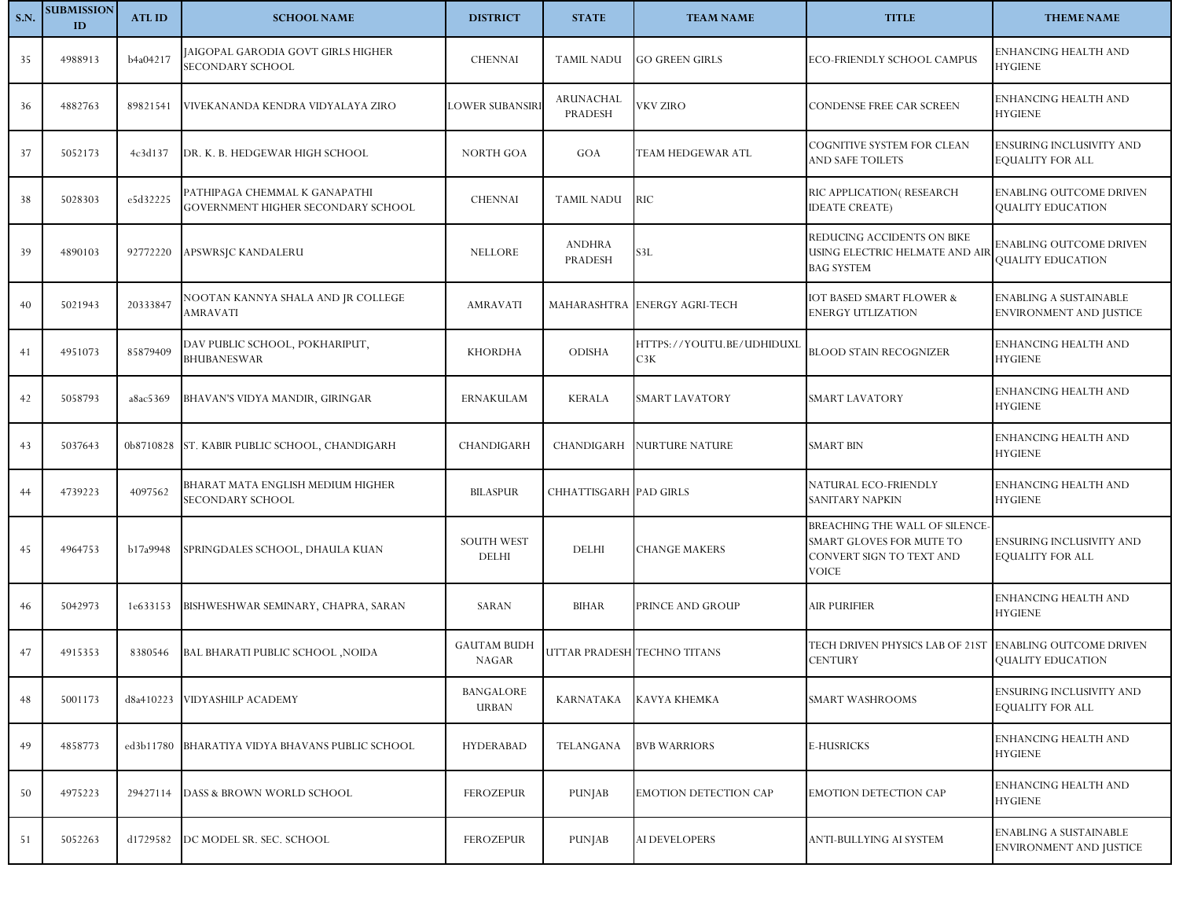| <b>S.N.</b> | <b>SUBMISSION</b><br>ID | <b>ATLID</b> | <b>SCHOOL NAME</b>                                                  | <b>DISTRICT</b>                    | <b>STATE</b>             | <b>TEAM NAME</b>                 | <b>TITLE</b>                                                                                    | <b>THEME NAME</b>                                               |
|-------------|-------------------------|--------------|---------------------------------------------------------------------|------------------------------------|--------------------------|----------------------------------|-------------------------------------------------------------------------------------------------|-----------------------------------------------------------------|
| 35          | 4988913                 | b4a04217     | JAIGOPAL GARODIA GOVT GIRLS HIGHER<br>SECONDARY SCHOOL              | <b>CHENNAI</b>                     | <b>TAMIL NADU</b>        | <b>GO GREEN GIRLS</b>            | ECO-FRIENDLY SCHOOL CAMPUS                                                                      | ENHANCING HEALTH AND<br><b>HYGIENE</b>                          |
| 36          | 4882763                 | 89821541     | VIVEKANANDA KENDRA VIDYALAYA ZIRO                                   | <b>LOWER SUBANSIRI</b>             | ARUNACHAL<br>PRADESH     | VKV ZIRO                         | <b>CONDENSE FREE CAR SCREEN</b>                                                                 | ENHANCING HEALTH AND<br><b>HYGIENE</b>                          |
| 37          | 5052173                 | 4c3d137      | DR. K. B. HEDGEWAR HIGH SCHOOL                                      | <b>NORTH GOA</b>                   | GOA                      | TEAM HEDGEWAR ATL                | COGNITIVE SYSTEM FOR CLEAN<br>AND SAFE TOILETS                                                  | ENSURING INCLUSIVITY AND<br>EQUALITY FOR ALL                    |
| 38          | 5028303                 | e5d32225     | PATHIPAGA CHEMMAL K GANAPATHI<br>GOVERNMENT HIGHER SECONDARY SCHOOL | <b>CHENNAI</b>                     | <b>TAMIL NADU</b>        | RIC                              | RIC APPLICATION(RESEARCH<br><b>IDEATE CREATE)</b>                                               | <b>ENABLING OUTCOME DRIVEN</b><br>QUALITY EDUCATION             |
| 39          | 4890103                 | 92772220     | APSWRSJC KANDALERU                                                  | <b>NELLORE</b>                     | <b>ANDHRA</b><br>PRADESH | 53L                              | REDUCING ACCIDENTS ON BIKE<br>USING ELECTRIC HELMATE AND AIR<br><b>BAG SYSTEM</b>               | ENABLING OUTCOME DRIVEN<br>QUALITY EDUCATION                    |
| 40          | 5021943                 | 20333847     | NOOTAN KANNYA SHALA AND JR COLLEGE<br>AMRAVATI                      | <b>AMRAVATI</b>                    |                          | MAHARASHTRA ENERGY AGRI-TECH     | <b>IOT BASED SMART FLOWER &amp;</b><br>ENERGY UTLIZATION                                        | <b>ENABLING A SUSTAINABLE</b><br><b>ENVIRONMENT AND JUSTICE</b> |
| 41          | 4951073                 | 85879409     | DAV PUBLIC SCHOOL, POKHARIPUT,<br><b>BHUBANESWAR</b>                | <b>KHORDHA</b>                     | <b>ODISHA</b>            | HTTPS://YOUTU.BE/UDHIDUXL<br>C3K | <b>BLOOD STAIN RECOGNIZER</b>                                                                   | ENHANCING HEALTH AND<br>HYGIENE                                 |
| 42          | 5058793                 | a8ac5369     | BHAVAN'S VIDYA MANDIR, GIRINGAR                                     | <b>ERNAKULAM</b>                   | <b>KERALA</b>            | <b>SMART LAVATORY</b>            | SMART LAVATORY                                                                                  | ENHANCING HEALTH AND<br><b>HYGIENE</b>                          |
| 43          | 5037643                 |              | 0b8710828 ST. KABIR PUBLIC SCHOOL, CHANDIGARH                       | CHANDIGARH                         | CHANDIGARH               | <b>NURTURE NATURE</b>            | <b>SMART BIN</b>                                                                                | ENHANCING HEALTH AND<br><b>HYGIENE</b>                          |
| 44          | 4739223                 | 4097562      | BHARAT MATA ENGLISH MEDIUM HIGHER<br>SECONDARY SCHOOL               | <b>BILASPUR</b>                    | CHHATTISGARH PAD GIRLS   |                                  | NATURAL ECO-FRIENDLY<br>SANITARY NAPKIN                                                         | ENHANCING HEALTH AND<br><b>HYGIENE</b>                          |
| 45          | 4964753                 | b17a9948     | SPRINGDALES SCHOOL, DHAULA KUAN                                     | <b>SOUTH WEST</b><br>DELHI         | <b>DELHI</b>             | <b>CHANGE MAKERS</b>             | BREACHING THE WALL OF SILENCE-<br>SMART GLOVES FOR MUTE TO<br>CONVERT SIGN TO TEXT AND<br>VOICE | <b>ENSURING INCLUSIVITY AND</b><br>EQUALITY FOR ALL             |
| 46          | 5042973                 | 1e633153     | BISHWESHWAR SEMINARY, CHAPRA, SARAN                                 | SARAN                              | <b>BIHAR</b>             | PRINCE AND GROUP                 | <b>AIR PURIFIER</b>                                                                             | ENHANCING HEALTH AND<br><b>HYGIENE</b>                          |
| 47          | 4915353                 | 8380546      | <b>BAL BHARATI PUBLIC SCHOOL ,NOIDA</b>                             | <b>GAUTAM BUDH</b><br><b>NAGAR</b> |                          | UTTAR PRADESH TECHNO TITANS      | TECH DRIVEN PHYSICS LAB OF 21ST<br><b>CENTURY</b>                                               | <b>ENABLING OUTCOME DRIVEN</b><br>QUALITY EDUCATION             |
| 48          | 5001173                 | d8a410223    | VIDYASHILP ACADEMY                                                  | <b>BANGALORE</b><br><b>URBAN</b>   | <b>KARNATAKA</b>         | KAVYA KHEMKA                     | SMART WASHROOMS                                                                                 | ENSURING INCLUSIVITY AND<br>EQUALITY FOR ALL                    |
| 49          | 4858773                 | ed3b11780    | BHARATIYA VIDYA BHAVANS PUBLIC SCHOOL                               | <b>HYDERABAD</b>                   | TELANGANA                | <b>BVB WARRIORS</b>              | E-HUSRICKS                                                                                      | ENHANCING HEALTH AND<br><b>HYGIENE</b>                          |
| 50          | 4975223                 | 29427114     | DASS & BROWN WORLD SCHOOL                                           | <b>FEROZEPUR</b>                   | <b>PUNJAB</b>            | <b>EMOTION DETECTION CAP</b>     | <b>EMOTION DETECTION CAP</b>                                                                    | ENHANCING HEALTH AND<br><b>HYGIENE</b>                          |
| 51          | 5052263                 | d1729582     | DC MODEL SR. SEC. SCHOOL                                            | <b>FEROZEPUR</b>                   | PUNJAB                   | AI DEVELOPERS                    | ANTI-BULLYING AI SYSTEM                                                                         | <b>ENABLING A SUSTAINABLE</b><br>ENVIRONMENT AND JUSTICE        |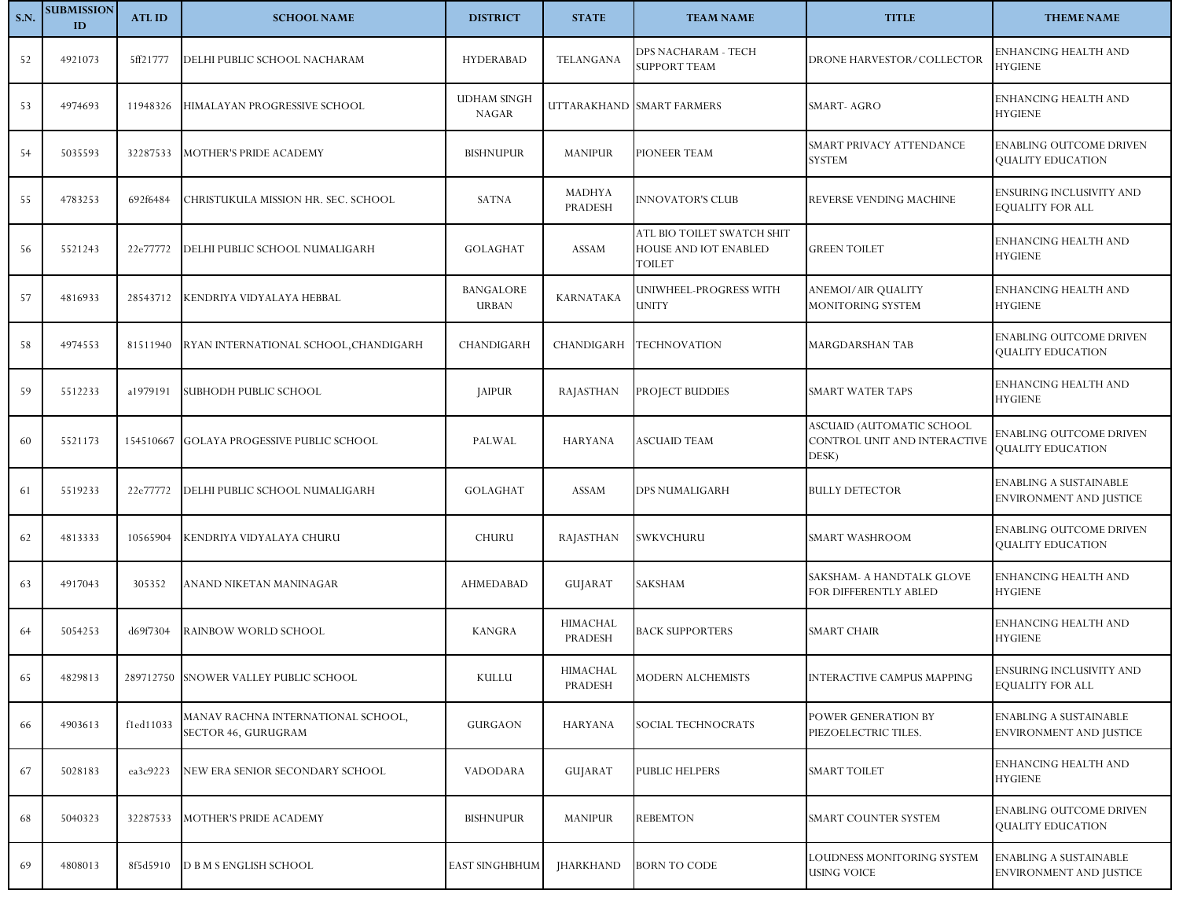| <b>S.N.</b> | <b>SUBMISSION</b><br>ID | <b>ATLID</b> | <b>SCHOOL NAME</b>                                        | <b>DISTRICT</b>                    | <b>STATE</b>        | <b>TEAM NAME</b>                                              | <b>TITLE</b>                                                       | <b>THEME NAME</b>                                               |
|-------------|-------------------------|--------------|-----------------------------------------------------------|------------------------------------|---------------------|---------------------------------------------------------------|--------------------------------------------------------------------|-----------------------------------------------------------------|
| 52          | 4921073                 | 5ff21777     | DELHI PUBLIC SCHOOL NACHARAM                              | <b>HYDERABAD</b>                   | <b>TELANGANA</b>    | DPS NACHARAM - TECH<br><b>SUPPORT TEAM</b>                    | DRONE HARVESTOR/COLLECTOR                                          | ENHANCING HEALTH AND<br><b>HYGIENE</b>                          |
| 53          | 4974693                 | 11948326     | HIMALAYAN PROGRESSIVE SCHOOL                              | <b>UDHAM SINGH</b><br><b>NAGAR</b> |                     | UTTARAKHAND SMART FARMERS                                     | <b>SMART-AGRO</b>                                                  | ENHANCING HEALTH AND<br><b>HYGIENE</b>                          |
| 54          | 5035593                 | 32287533     | <b>MOTHER'S PRIDE ACADEMY</b>                             | <b>BISHNUPUR</b>                   | <b>MANIPUR</b>      | <b>PIONEER TEAM</b>                                           | SMART PRIVACY ATTENDANCE<br><b>SYSTEM</b>                          | <b>ENABLING OUTCOME DRIVEN</b><br><b>QUALITY EDUCATION</b>      |
| 55          | 4783253                 | 692f6484     | CHRISTUKULA MISSION HR. SEC. SCHOOL                       | <b>SATNA</b>                       | MADHYA<br>PRADESH   | <b>INNOVATOR'S CLUB</b>                                       | REVERSE VENDING MACHINE                                            | ENSURING INCLUSIVITY AND<br><b>EQUALITY FOR ALL</b>             |
| 56          | 5521243                 | 22e77772     | DELHI PUBLIC SCHOOL NUMALIGARH                            | <b>GOLAGHAT</b>                    | ASSAM               | ATL BIO TOILET SWATCH SHIT<br>HOUSE AND IOT ENABLED<br>TOILET | <b>GREEN TOILET</b>                                                | ENHANCING HEALTH AND<br><b>HYGIENE</b>                          |
| 57          | 4816933                 | 28543712     | KENDRIYA VIDYALAYA HEBBAL                                 | <b>BANGALORE</b><br><b>URBAN</b>   | <b>KARNATAKA</b>    | UNIWHEEL-PROGRESS WITH<br><b>UNITY</b>                        | <b>ANEMOI/AIR QUALITY</b><br>MONITORING SYSTEM                     | ENHANCING HEALTH AND<br><b>HYGIENE</b>                          |
| 58          | 4974553                 | 81511940     | RYAN INTERNATIONAL SCHOOL, CHANDIGARH                     | CHANDIGARH                         | <b>CHANDIGARH</b>   | <b>TECHNOVATION</b>                                           | <b>MARGDARSHAN TAB</b>                                             | <b>ENABLING OUTCOME DRIVEN</b><br>QUALITY EDUCATION             |
| 59          | 5512233                 | a1979191     | SUBHODH PUBLIC SCHOOL                                     | <b>JAIPUR</b>                      | <b>RAJASTHAN</b>    | <b>PROJECT BUDDIES</b>                                        | SMART WATER TAPS                                                   | ENHANCING HEALTH AND<br><b>HYGIENE</b>                          |
| 60          | 5521173                 |              | 154510667 GOLAYA PROGESSIVE PUBLIC SCHOOL                 | PALWAL                             | <b>HARYANA</b>      | <b>ASCUAID TEAM</b>                                           | ASCUAID (AUTOMATIC SCHOOL<br>CONTROL UNIT AND INTERACTIVE<br>DESK) | ENABLING OUTCOME DRIVEN<br>QUALITY EDUCATION                    |
| 61          | 5519233                 | 22e77772     | DELHI PUBLIC SCHOOL NUMALIGARH                            | <b>GOLAGHAT</b>                    | ASSAM               | <b>DPS NUMALIGARH</b>                                         | <b>BULLY DETECTOR</b>                                              | <b>ENABLING A SUSTAINABLE</b><br>ENVIRONMENT AND JUSTICE        |
| 62          | 4813333                 | 10565904     | KENDRIYA VIDYALAYA CHURU                                  | <b>CHURU</b>                       | <b>RAJASTHAN</b>    | SWKVCHURU                                                     | SMART WASHROOM                                                     | <b>ENABLING OUTCOME DRIVEN</b><br>QUALITY EDUCATION             |
| 63          | 4917043                 | 305352       | ANAND NIKETAN MANINAGAR                                   | AHMEDABAD                          | GUJARAT             | SAKSHAM                                                       | SAKSHAM- A HANDTALK GLOVE<br>FOR DIFFERENTLY ABLED                 | ENHANCING HEALTH AND<br><b>HYGIENE</b>                          |
| 64          | 5054253                 | d69f7304     | RAINBOW WORLD SCHOOL                                      | <b>KANGRA</b>                      | HIMACHAL<br>PRADESH | <b>BACK SUPPORTERS</b>                                        | SMART CHAIR                                                        | <b>ENHANCING HEALTH AND</b><br><b>HYGIENE</b>                   |
| 65          | 4829813                 |              | 289712750 SNOWER VALLEY PUBLIC SCHOOL                     | KULLU                              | HIMACHAL<br>PRADESH | <b>MODERN ALCHEMISTS</b>                                      | <b>INTERACTIVE CAMPUS MAPPING</b>                                  | ENSURING INCLUSIVITY AND<br><b>EQUALITY FOR ALL</b>             |
| 66          | 4903613                 | f1ed11033    | MANAV RACHNA INTERNATIONAL SCHOOL,<br>SECTOR 46, GURUGRAM | <b>GURGAON</b>                     | <b>HARYANA</b>      | SOCIAL TECHNOCRATS                                            | POWER GENERATION BY<br>PIEZOELECTRIC TILES.                        | <b>ENABLING A SUSTAINABLE</b><br><b>ENVIRONMENT AND JUSTICE</b> |
| 67          | 5028183                 | ea3c9223     | NEW ERA SENIOR SECONDARY SCHOOL                           | VADODARA                           | GUJARAT             | <b>PUBLIC HELPERS</b>                                         | <b>SMART TOILET</b>                                                | <b>ENHANCING HEALTH AND</b><br><b>HYGIENE</b>                   |
| 68          | 5040323                 | 32287533     | <b>MOTHER'S PRIDE ACADEMY</b>                             | <b>BISHNUPUR</b>                   | <b>MANIPUR</b>      | <b>REBEMTON</b>                                               | SMART COUNTER SYSTEM                                               | ENABLING OUTCOME DRIVEN<br>QUALITY EDUCATION                    |
| 69          | 4808013                 | 8f5d5910     | <b>D B M S ENGLISH SCHOOL</b>                             | <b>EAST SINGHBHUM</b>              | <b>JHARKHAND</b>    | <b>BORN TO CODE</b>                                           | OUDNESS MONITORING SYSTEM<br><b>USING VOICE</b>                    | <b>ENABLING A SUSTAINABLE</b><br>ENVIRONMENT AND JUSTICE        |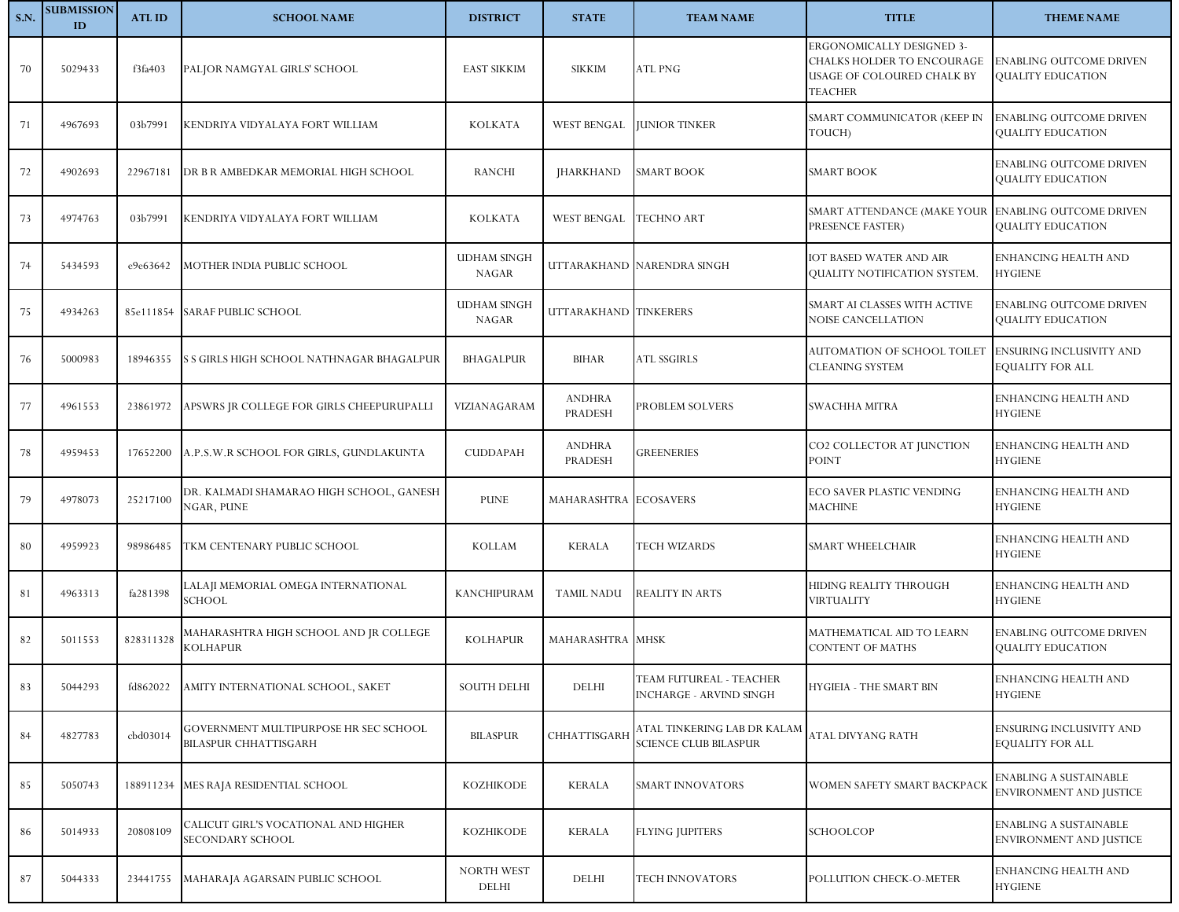| <b>S.N.</b> | <b>SUBMISSION</b><br>ID | <b>ATLID</b> | <b>SCHOOL NAME</b>                                             | <b>DISTRICT</b>                    | <b>STATE</b>                    | <b>TEAM NAME</b>                                            | <b>TITLE</b>                                                                                            | <b>THEME NAME</b>                                               |
|-------------|-------------------------|--------------|----------------------------------------------------------------|------------------------------------|---------------------------------|-------------------------------------------------------------|---------------------------------------------------------------------------------------------------------|-----------------------------------------------------------------|
| 70          | 5029433                 | f3fa403      | PALJOR NAMGYAL GIRLS' SCHOOL                                   | <b>EAST SIKKIM</b>                 | <b>SIKKIM</b>                   | ATL PNG                                                     | ERGONOMICALLY DESIGNED 3-<br>CHALKS HOLDER TO ENCOURAGE<br>USAGE OF COLOURED CHALK BY<br><b>TEACHER</b> | ENABLING OUTCOME DRIVEN<br><b>QUALITY EDUCATION</b>             |
| 71          | 4967693                 | 03b7991      | KENDRIYA VIDYALAYA FORT WILLIAM                                | <b>KOLKATA</b>                     | <b>WEST BENGAL</b>              | <b>JUNIOR TINKER</b>                                        | SMART COMMUNICATOR (KEEP IN<br>TOUCH)                                                                   | ENABLING OUTCOME DRIVEN<br>QUALITY EDUCATION                    |
| 72          | 4902693                 | 22967181     | DR B R AMBEDKAR MEMORIAL HIGH SCHOOL                           | <b>RANCHI</b>                      | <b>IHARKHAND</b>                | <b>SMART BOOK</b>                                           | <b>SMART BOOK</b>                                                                                       | <b>ENABLING OUTCOME DRIVEN</b><br>QUALITY EDUCATION             |
| 73          | 4974763                 | 03b7991      | KENDRIYA VIDYALAYA FORT WILLIAM                                | <b>KOLKATA</b>                     | WEST BENGAL                     | <b>TECHNO ART</b>                                           | SMART ATTENDANCE (MAKE YOUR<br>PRESENCE FASTER)                                                         | <b>ENABLING OUTCOME DRIVEN</b><br>QUALITY EDUCATION             |
| 74          | 5434593                 | e9e63642     | MOTHER INDIA PUBLIC SCHOOL                                     | <b>UDHAM SINGH</b><br><b>NAGAR</b> |                                 | UTTARAKHAND NARENDRA SINGH                                  | IOT BASED WATER AND AIR<br>QUALITY NOTIFICATION SYSTEM.                                                 | ENHANCING HEALTH AND<br><b>HYGIENE</b>                          |
| 75          | 4934263                 |              | 85e111854 SARAF PUBLIC SCHOOL                                  | <b>UDHAM SINGH</b><br><b>NAGAR</b> | UTTARAKHAND TINKERERS           |                                                             | SMART AI CLASSES WITH ACTIVE<br>NOISE CANCELLATION                                                      | ENABLING OUTCOME DRIVEN<br>QUALITY EDUCATION                    |
| 76          | 5000983                 | 18946355     | S S GIRLS HIGH SCHOOL NATHNAGAR BHAGALPUR                      | BHAGALPUR                          | BIHAR                           | <b>ATL SSGIRLS</b>                                          | AUTOMATION OF SCHOOL TOILET<br>CLEANING SYSTEM                                                          | <b>ENSURING INCLUSIVITY AND</b><br><b>EQUALITY FOR ALL</b>      |
| 77          | 4961553                 | 23861972     | APSWRS JR COLLEGE FOR GIRLS CHEEPURUPALLI                      | VIZIANAGARAM                       | <b>ANDHRA</b><br><b>PRADESH</b> | PROBLEM SOLVERS                                             | <b>SWACHHA MITRA</b>                                                                                    | ENHANCING HEALTH AND<br><b>HYGIENE</b>                          |
| 78          | 4959453                 | 17652200     | A.P.S.W.R SCHOOL FOR GIRLS, GUNDLAKUNTA                        | <b>CUDDAPAH</b>                    | <b>ANDHRA</b><br>PRADESH        | <b>GREENERIES</b>                                           | CO2 COLLECTOR AT JUNCTION<br><b>POINT</b>                                                               | ENHANCING HEALTH AND<br><b>HYGIENE</b>                          |
| 79          | 4978073                 | 25217100     | DR. KALMADI SHAMARAO HIGH SCHOOL, GANESH<br>NGAR, PUNE         | <b>PUNE</b>                        | MAHARASHTRA ECOSAVERS           |                                                             | ECO SAVER PLASTIC VENDING<br><b>MACHINE</b>                                                             | ENHANCING HEALTH AND<br><b>HYGIENE</b>                          |
| 80          | 4959923                 | 98986485     | TKM CENTENARY PUBLIC SCHOOL                                    | <b>KOLLAM</b>                      | <b>KERALA</b>                   | TECH WIZARDS                                                | SMART WHEELCHAIR                                                                                        | ENHANCING HEALTH AND<br><b>HYGIENE</b>                          |
| 81          | 4963313                 | fa281398     | LALAJI MEMORIAL OMEGA INTERNATIONAL<br>SCHOOL                  | <b>KANCHIPURAM</b>                 | TAMIL NADU                      | <b>REALITY IN ARTS</b>                                      | HIDING REALITY THROUGH<br>VIRTUALITY                                                                    | ENHANCING HEALTH AND<br><b>HYGIENE</b>                          |
| 82          | 5011553                 | 828311328    | MAHARASHTRA HIGH SCHOOL AND JR COLLEGE<br>KOLHAPUR             | <b>KOLHAPUR</b>                    | MAHARASHTRA MHSK                |                                                             | MATHEMATICAL AID TO LEARN<br>CONTENT OF MATHS                                                           | <b>ENABLING OUTCOME DRIVEN</b><br>QUALITY EDUCATION             |
| 83          | 5044293                 | fd862022     | AMITY INTERNATIONAL SCHOOL, SAKET                              | <b>SOUTH DELHI</b>                 | DELHI                           | TEAM FUTUREAL - TEACHER<br><b>INCHARGE - ARVIND SINGH</b>   | HYGIEIA - THE SMART BIN                                                                                 | ENHANCING HEALTH AND<br><b>HYGIENE</b>                          |
| 84          | 4827783                 | cbd03014     | GOVERNMENT MULTIPURPOSE HR SEC SCHOOL<br>BILASPUR CHHATTISGARH | <b>BILASPUR</b>                    | CHHATTISGARH                    | ATAL TINKERING LAB DR KALAM<br><b>SCIENCE CLUB BILASPUR</b> | ATAL DIVYANG RATH                                                                                       | ENSURING INCLUSIVITY AND<br>EQUALITY FOR ALL                    |
| 85          | 5050743                 |              | 188911234 MES RAJA RESIDENTIAL SCHOOL                          | <b>KOZHIKODE</b>                   | <b>KERALA</b>                   | SMART INNOVATORS                                            | WOMEN SAFETY SMART BACKPACK                                                                             | ENABLING A SUSTAINABLE<br><b>ENVIRONMENT AND JUSTICE</b>        |
| 86          | 5014933                 | 20808109     | CALICUT GIRL'S VOCATIONAL AND HIGHER<br>SECONDARY SCHOOL       | <b>KOZHIKODE</b>                   | <b>KERALA</b>                   | <b>FLYING JUPITERS</b>                                      | SCHOOLCOP                                                                                               | <b>ENABLING A SUSTAINABLE</b><br><b>ENVIRONMENT AND JUSTICE</b> |
| 87          | 5044333                 | 23441755     | MAHARAJA AGARSAIN PUBLIC SCHOOL                                | NORTH WEST<br>DELHI                | DELHI                           | <b>TECH INNOVATORS</b>                                      | POLLUTION CHECK-O-METER                                                                                 | ENHANCING HEALTH AND<br><b>HYGIENE</b>                          |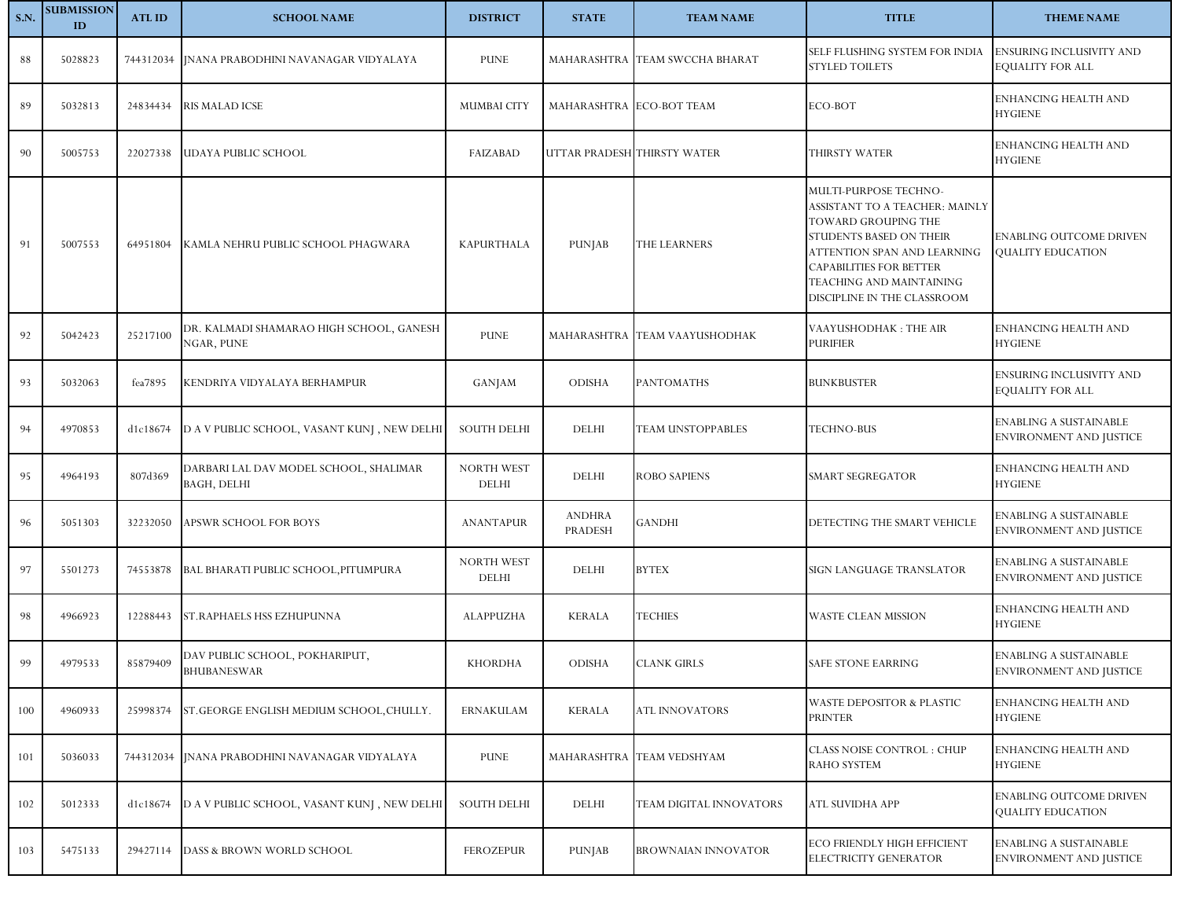| <b>S.N.</b> | <b>SUBMISSION</b><br>ID | <b>ATLID</b> | <b>SCHOOL NAME</b>                                     | <b>DISTRICT</b>            | <b>STATE</b>             | <b>TEAM NAME</b>               | <b>TITLE</b>                                                                                                                                                                                                                          | <b>THEME NAME</b>                                        |
|-------------|-------------------------|--------------|--------------------------------------------------------|----------------------------|--------------------------|--------------------------------|---------------------------------------------------------------------------------------------------------------------------------------------------------------------------------------------------------------------------------------|----------------------------------------------------------|
| 88          | 5028823                 |              | 744312034   [NANA PRABODHINI NAVANAGAR VIDYALAYA       | <b>PUNE</b>                |                          | MAHARASHTRA TEAM SWCCHA BHARAT | SELF FLUSHING SYSTEM FOR INDIA<br>STYLED TOILETS                                                                                                                                                                                      | ENSURING INCLUSIVITY AND<br>EQUALITY FOR ALL             |
| 89          | 5032813                 | 24834434     | RIS MALAD ICSE                                         | <b>MUMBAI CITY</b>         | MAHARASHTRA ECO-BOT TEAM |                                | ECO-BOT                                                                                                                                                                                                                               | ENHANCING HEALTH AND<br><b>HYGIENE</b>                   |
| 90          | 5005753                 | 22027338     | UDAYA PUBLIC SCHOOL                                    | FAIZABAD                   |                          | UTTAR PRADESH THIRSTY WATER    | THIRSTY WATER                                                                                                                                                                                                                         | ENHANCING HEALTH AND<br><b>HYGIENE</b>                   |
| 91          | 5007553                 | 64951804     | KAMLA NEHRU PUBLIC SCHOOL PHAGWARA                     | KAPURTHALA                 | PUNJAB                   | THE LEARNERS                   | MULTI-PURPOSE TECHNO-<br>ASSISTANT TO A TEACHER: MAINLY<br>TOWARD GROUPING THE<br>STUDENTS BASED ON THEIR<br>ATTENTION SPAN AND LEARNING<br><b>CAPABILITIES FOR BETTER</b><br>TEACHING AND MAINTAINING<br>DISCIPLINE IN THE CLASSROOM | <b>ENABLING OUTCOME DRIVEN</b><br>QUALITY EDUCATION      |
| 92          | 5042423                 | 25217100     | DR. KALMADI SHAMARAO HIGH SCHOOL, GANESH<br>NGAR, PUNE | <b>PUNE</b>                |                          | MAHARASHTRA TEAM VAAYUSHODHAK  | VAAYUSHODHAK : THE AIR<br>PURIFIER                                                                                                                                                                                                    | ENHANCING HEALTH AND<br><b>HYGIENE</b>                   |
| 93          | 5032063                 | fea7895      | KENDRIYA VIDYALAYA BERHAMPUR                           | GANJAM                     | <b>ODISHA</b>            | <b>PANTOMATHS</b>              | <b>BUNKBUSTER</b>                                                                                                                                                                                                                     | ENSURING INCLUSIVITY AND<br>EQUALITY FOR ALL             |
| 94          | 4970853                 | d1c18674     | D A V PUBLIC SCHOOL, VASANT KUNI, NEW DELHI            | <b>SOUTH DELHI</b>         | DELHI                    | TEAM UNSTOPPABLES              | <b>TECHNO-BUS</b>                                                                                                                                                                                                                     | <b>ENABLING A SUSTAINABLE</b><br>ENVIRONMENT AND JUSTICE |
| 95          | 4964193                 | 807d369      | DARBARI LAL DAV MODEL SCHOOL, SHALIMAR<br>BAGH, DELHI  | <b>NORTH WEST</b><br>DELHI | DELHI                    | <b>ROBO SAPIENS</b>            | SMART SEGREGATOR                                                                                                                                                                                                                      | ENHANCING HEALTH AND<br><b>HYGIENE</b>                   |
| 96          | 5051303                 | 32232050     | APSWR SCHOOL FOR BOYS                                  | <b>ANANTAPUR</b>           | <b>ANDHRA</b><br>PRADESH | GANDHI                         | DETECTING THE SMART VEHICLE                                                                                                                                                                                                           | ENABLING A SUSTAINABLE<br>ENVIRONMENT AND JUSTICE        |
| 97          | 5501273                 | 74553878     | BAL BHARATI PUBLIC SCHOOL, PITUMPURA                   | NORTH WEST<br><b>DELHI</b> | <b>DELHI</b>             | BYTEX                          | SIGN LANGUAGE TRANSLATOR                                                                                                                                                                                                              | ENABLING A SUSTAINABLE<br><b>ENVIRONMENT AND JUSTICE</b> |
| 98          | 4966923                 | 12288443     | <b>ST.RAPHAELS HSS EZHUPUNNA</b>                       | ALAPPUZHA                  | <b>KERALA</b>            | <b>TECHIES</b>                 | WASTE CLEAN MISSION                                                                                                                                                                                                                   | ENHANCING HEALTH AND<br><b>HYGIENE</b>                   |
| 99          | 4979533                 | 85879409     | DAV PUBLIC SCHOOL, POKHARIPUT,<br>BHUBANESWAR          | <b>KHORDHA</b>             | <b>ODISHA</b>            | <b>CLANK GIRLS</b>             | SAFE STONE EARRING                                                                                                                                                                                                                    | ENABLING A SUSTAINABLE<br><b>ENVIRONMENT AND JUSTICE</b> |
| 100         | 4960933                 | 25998374     | ST. GEORGE ENGLISH MEDIUM SCHOOL, CHULLY.              | <b>ERNAKULAM</b>           | <b>KERALA</b>            | ATL INNOVATORS                 | WASTE DEPOSITOR & PLASTIC<br><b>PRINTER</b>                                                                                                                                                                                           | ENHANCING HEALTH AND<br><b>HYGIENE</b>                   |
| 101         | 5036033                 |              | 744312034   INANA PRABODHINI NAVANAGAR VIDYALAYA       | <b>PUNE</b>                | MAHARASHTRA              | TEAM VEDSHYAM                  | CLASS NOISE CONTROL : CHUP<br>RAHO SYSTEM                                                                                                                                                                                             | ENHANCING HEALTH AND<br><b>HYGIENE</b>                   |
| 102         | 5012333                 | d1c18674     | D A V PUBLIC SCHOOL, VASANT KUNJ, NEW DELHI            | <b>SOUTH DELHI</b>         | DELHI                    | TEAM DIGITAL INNOVATORS        | ATL SUVIDHA APP                                                                                                                                                                                                                       | <b>ENABLING OUTCOME DRIVEN</b><br>QUALITY EDUCATION      |
| 103         | 5475133                 | 29427114     | DASS & BROWN WORLD SCHOOL                              | <b>FEROZEPUR</b>           | PUNJAB                   | BROWNAIAN INNOVATOR            | ECO FRIENDLY HIGH EFFICIENT<br>ELECTRICITY GENERATOR                                                                                                                                                                                  | ENABLING A SUSTAINABLE<br>ENVIRONMENT AND JUSTICE        |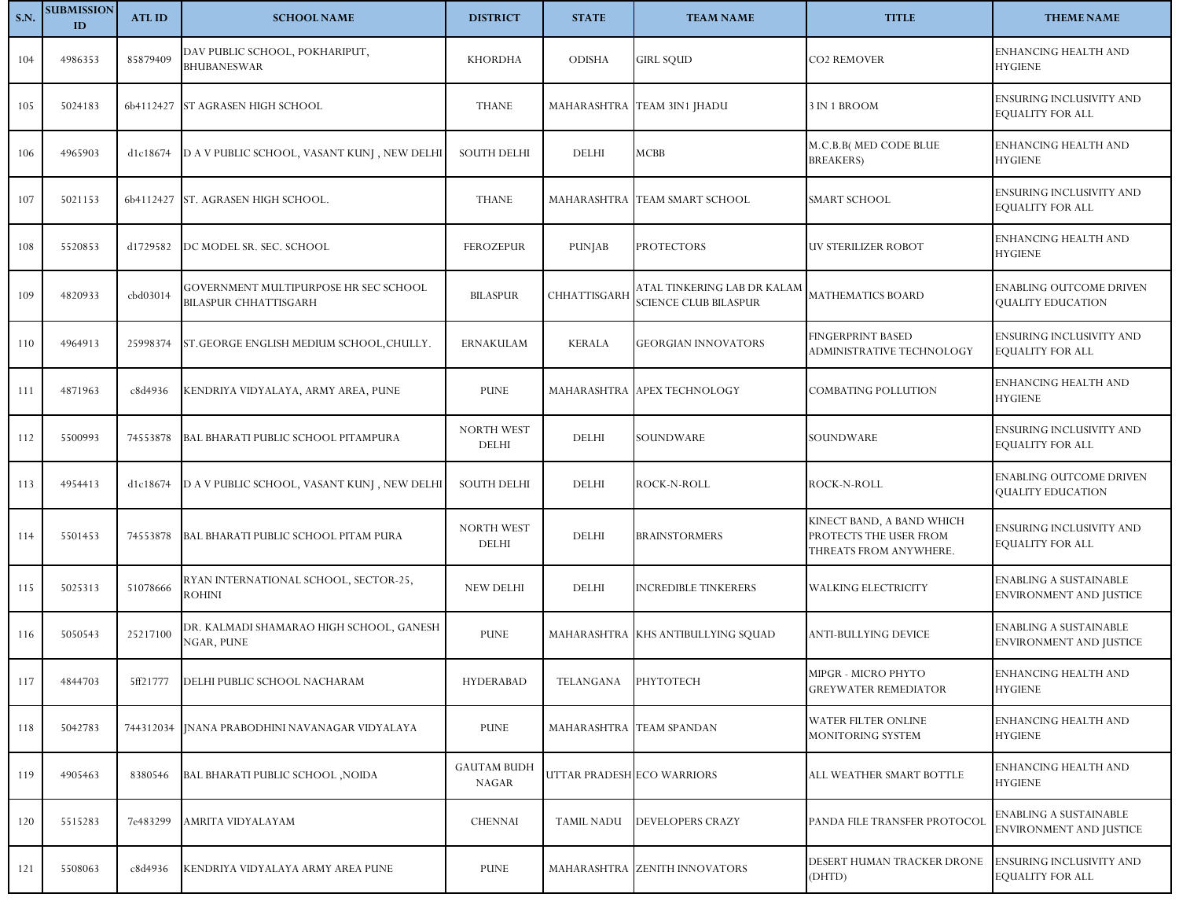| <b>S.N.</b> | <b>SUBMISSION</b><br>ID | <b>ATLID</b> | <b>SCHOOL NAME</b>                                                    | <b>DISTRICT</b>             | <b>STATE</b>               | <b>TEAM NAME</b>                                            | <b>TITLE</b>                                                                  | <b>THEME NAME</b>                                          |
|-------------|-------------------------|--------------|-----------------------------------------------------------------------|-----------------------------|----------------------------|-------------------------------------------------------------|-------------------------------------------------------------------------------|------------------------------------------------------------|
| 104         | 4986353                 | 85879409     | DAV PUBLIC SCHOOL, POKHARIPUT,<br><b>BHUBANESWAR</b>                  | <b>KHORDHA</b>              | <b>ODISHA</b>              | <b>GIRL SQUD</b>                                            | CO2 REMOVER                                                                   | ENHANCING HEALTH AND<br><b>HYGIENE</b>                     |
| 105         | 5024183                 |              | 6b4112427 ST AGRASEN HIGH SCHOOL                                      | <b>THANE</b>                |                            | MAHARASHTRA TEAM 3IN1 JHADU                                 | 3 IN 1 BROOM                                                                  | ENSURING INCLUSIVITY AND<br><b>EQUALITY FOR ALL</b>        |
| 106         | 4965903                 | d1c18674     | D A V PUBLIC SCHOOL, VASANT KUNI, NEW DELHI                           | <b>SOUTH DELHI</b>          | <b>DELHI</b>               | MCBB                                                        | M.C.B.B( MED CODE BLUE<br><b>BREAKERS</b> )                                   | <b>ENHANCING HEALTH AND</b><br><b>HYGIENE</b>              |
| 107         | 5021153                 |              | 6b4112427 ST. AGRASEN HIGH SCHOOL.                                    | <b>THANE</b>                |                            | MAHARASHTRA TEAM SMART SCHOOL                               | <b>SMART SCHOOL</b>                                                           | ENSURING INCLUSIVITY AND<br><b>EQUALITY FOR ALL</b>        |
| 108         | 5520853                 | d1729582     | DC MODEL SR. SEC. SCHOOL                                              | <b>FEROZEPUR</b>            | PUNJAB                     | <b>PROTECTORS</b>                                           | UV STERILIZER ROBOT                                                           | ENHANCING HEALTH AND<br><b>HYGIENE</b>                     |
| 109         | 4820933                 | cbd03014     | GOVERNMENT MULTIPURPOSE HR SEC SCHOOL<br><b>BILASPUR CHHATTISGARH</b> | <b>BILASPUR</b>             | CHHATTISGARH               | ATAL TINKERING LAB DR KALAM<br><b>SCIENCE CLUB BILASPUR</b> | <b>MATHEMATICS BOARD</b>                                                      | <b>ENABLING OUTCOME DRIVEN</b><br><b>OUALITY EDUCATION</b> |
| 110         | 4964913                 | 25998374     | ST. GEORGE ENGLISH MEDIUM SCHOOL, CHULLY.                             | <b>ERNAKULAM</b>            | <b>KERALA</b>              | <b>GEORGIAN INNOVATORS</b>                                  | <b>FINGERPRINT BASED</b><br>ADMINISTRATIVE TECHNOLOGY                         | ENSURING INCLUSIVITY AND<br><b>EQUALITY FOR ALL</b>        |
| 111         | 4871963                 | c8d4936      | KENDRIYA VIDYALAYA, ARMY AREA, PUNE                                   | <b>PUNE</b>                 |                            | MAHARASHTRA APEX TECHNOLOGY                                 | COMBATING POLLUTION                                                           | ENHANCING HEALTH AND<br><b>HYGIENE</b>                     |
| 112         | 5500993                 | 74553878     | BAL BHARATI PUBLIC SCHOOL PITAMPURA                                   | NORTH WEST<br>DELHI         | <b>DELHI</b>               | SOUNDWARE                                                   | SOUNDWARE                                                                     | <b>ENSURING INCLUSIVITY AND</b><br><b>EQUALITY FOR ALL</b> |
| 113         | 4954413                 | d1c18674     | D A V PUBLIC SCHOOL, VASANT KUNJ, NEW DELHI                           | <b>SOUTH DELHI</b>          | <b>DELHI</b>               | ROCK-N-ROLL                                                 | ROCK-N-ROLL                                                                   | <b>ENABLING OUTCOME DRIVEN</b><br>QUALITY EDUCATION        |
| 114         | 5501453                 | 74553878     | BAL BHARATI PUBLIC SCHOOL PITAM PURA                                  | NORTH WEST<br><b>DELHI</b>  | <b>DELHI</b>               | <b>BRAINSTORMERS</b>                                        | KINECT BAND, A BAND WHICH<br>PROTECTS THE USER FROM<br>THREATS FROM ANYWHERE. | ENSURING INCLUSIVITY AND<br><b>EQUALITY FOR ALL</b>        |
| 115         | 5025313                 | 51078666     | RYAN INTERNATIONAL SCHOOL, SECTOR-25,<br><b>ROHINI</b>                | <b>NEW DELHI</b>            | <b>DELHI</b>               | <b>INCREDIBLE TINKERERS</b>                                 | WALKING ELECTRICITY                                                           | <b>ENABLING A SUSTAINABLE</b><br>ENVIRONMENT AND JUSTICE   |
| 116         | 5050543                 | 25217100     | DR. KALMADI SHAMARAO HIGH SCHOOL, GANESH<br>NGAR, PUNE                | <b>PUNE</b>                 |                            | MAHARASHTRA KHS ANTIBULLYING SQUAD                          | ANTI-BULLYING DEVICE                                                          | <b>ENABLING A SUSTAINABLE</b><br>ENVIRONMENT AND JUSTICE   |
| 117         | 4844703                 | 5ff21777     | DELHI PUBLIC SCHOOL NACHARAM                                          | <b>HYDERABAD</b>            | TELANGANA                  | PHYTOTECH                                                   | MIPGR - MICRO PHYTO<br><b>GREYWATER REMEDIATOR</b>                            | ENHANCING HEALTH AND<br><b>HYGIENE</b>                     |
| 118         | 5042783                 |              | 744312034 INANA PRABODHINI NAVANAGAR VIDYALAYA                        | PUNE                        | MAHARASHTRA TEAM SPANDAN   |                                                             | WATER FILTER ONLINE<br>MONITORING SYSTEM                                      | <b>ENHANCING HEALTH AND</b><br><b>HYGIENE</b>              |
| 119         | 4905463                 | 8380546      | BAL BHARATI PUBLIC SCHOOL , NOIDA                                     | <b>GAUTAM BUDH</b><br>NAGAR | UTTAR PRADESH ECO WARRIORS |                                                             | ALL WEATHER SMART BOTTLE                                                      | <b>ENHANCING HEALTH AND</b><br><b>HYGIENE</b>              |
| 120         | 5515283                 | 7e483299     | AMRITA VIDYALAYAM                                                     | <b>CHENNAI</b>              | <b>TAMIL NADU</b>          | DEVELOPERS CRAZY                                            | PANDA FILE TRANSFER PROTOCOL                                                  | ENABLING A SUSTAINABLE<br>ENVIRONMENT AND JUSTICE          |
| 121         | 5508063                 | c8d4936      | KENDRIYA VIDYALAYA ARMY AREA PUNE                                     | PUNE                        |                            | MAHARASHTRA ZENITH INNOVATORS                               | DESERT HUMAN TRACKER DRONE<br>(DHTD)                                          | <b>ENSURING INCLUSIVITY AND</b><br><b>EQUALITY FOR ALL</b> |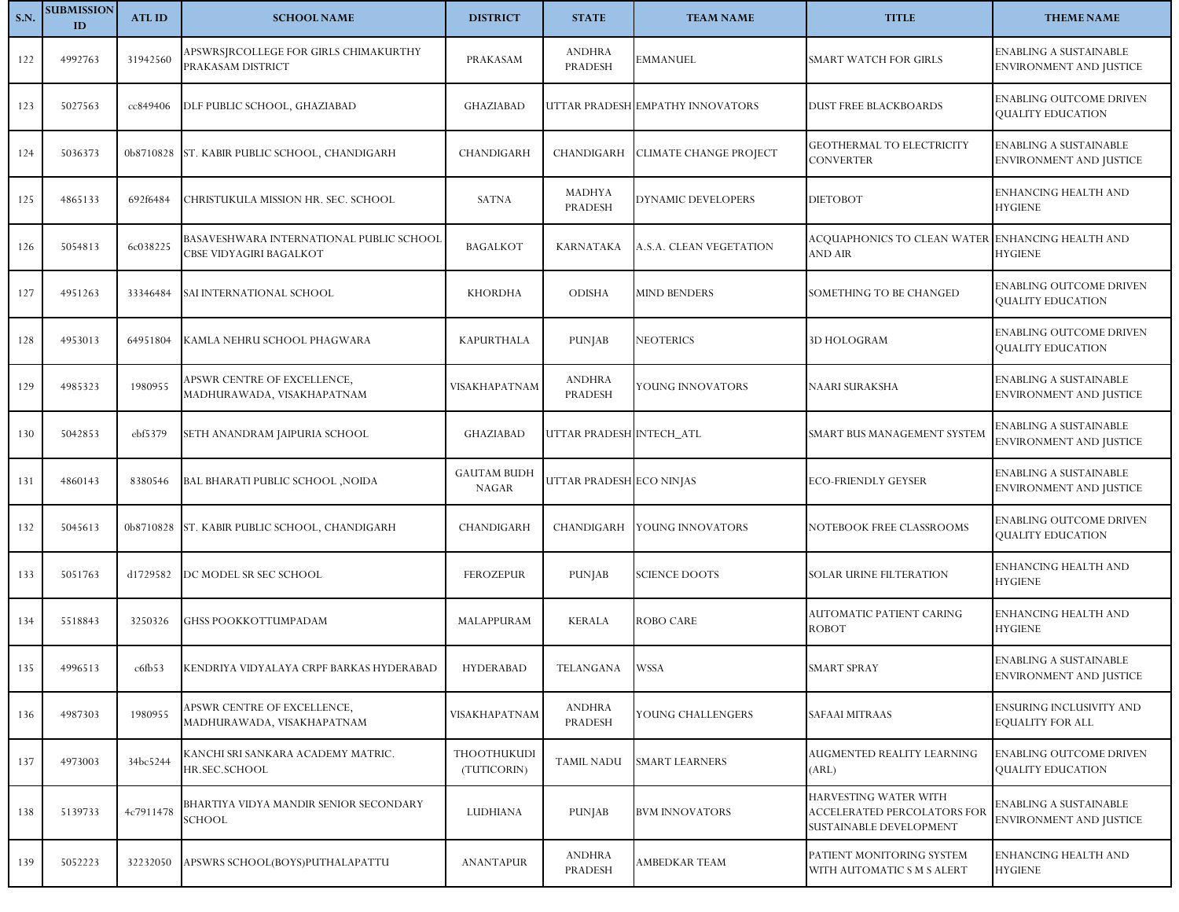| <b>S.N.</b> | <b>SUBMISSION</b><br>ID | <b>ATLID</b>      | <b>SCHOOL NAME</b>                                                  | <b>DISTRICT</b>                    | <b>STATE</b>             | <b>TEAM NAME</b>                 | <b>TITLE</b>                                                                    | <b>THEME NAME</b>                                               |
|-------------|-------------------------|-------------------|---------------------------------------------------------------------|------------------------------------|--------------------------|----------------------------------|---------------------------------------------------------------------------------|-----------------------------------------------------------------|
| 122         | 4992763                 | 31942560          | APSWRSJRCOLLEGE FOR GIRLS CHIMAKURTHY<br>PRAKASAM DISTRICT          | PRAKASAM                           | <b>ANDHRA</b><br>PRADESH | EMMANUEL                         | SMART WATCH FOR GIRLS                                                           | <b>ENABLING A SUSTAINABLE</b><br>ENVIRONMENT AND JUSTICE        |
| 123         | 5027563                 | cc849406          | DLF PUBLIC SCHOOL, GHAZIABAD                                        | <b>GHAZIABAD</b>                   |                          | UTTAR PRADESH EMPATHY INNOVATORS | <b>DUST FREE BLACKBOARDS</b>                                                    | <b>ENABLING OUTCOME DRIVEN</b><br>QUALITY EDUCATION             |
| 124         | 5036373                 | 0b8710828         | ST. KABIR PUBLIC SCHOOL, CHANDIGARH                                 | CHANDIGARH                         | CHANDIGARH               | <b>CLIMATE CHANGE PROJECT</b>    | <b>GEOTHERMAL TO ELECTRICITY</b><br><b>CONVERTER</b>                            | <b>ENABLING A SUSTAINABLE</b><br><b>ENVIRONMENT AND JUSTICE</b> |
| 125         | 4865133                 | 692f6484          | CHRISTUKULA MISSION HR. SEC. SCHOOL                                 | <b>SATNA</b>                       | MADHYA<br>PRADESH        | DYNAMIC DEVELOPERS               | <b>DIETOBOT</b>                                                                 | ENHANCING HEALTH AND<br><b>HYGIENE</b>                          |
| 126         | 5054813                 | 6c038225          | BASAVESHWARA INTERNATIONAL PUBLIC SCHOOL<br>CBSE VIDYAGIRI BAGALKOT | <b>BAGALKOT</b>                    | KARNATAKA                | A.S.A. CLEAN VEGETATION          | ACQUAPHONICS TO CLEAN WATER<br>AND AIR                                          | <b>ENHANCING HEALTH AND</b><br><b>HYGIENE</b>                   |
| 127         | 4951263                 | 33346484          | SAI INTERNATIONAL SCHOOL                                            | <b>KHORDHA</b>                     | <b>ODISHA</b>            | <b>MIND BENDERS</b>              | SOMETHING TO BE CHANGED                                                         | <b>ENABLING OUTCOME DRIVEN</b><br>QUALITY EDUCATION             |
| 128         | 4953013                 | 64951804          | KAMLA NEHRU SCHOOL PHAGWARA                                         | <b>KAPURTHALA</b>                  | <b>PUNJAB</b>            | NEOTERICS                        | 3D HOLOGRAM                                                                     | <b>ENABLING OUTCOME DRIVEN</b><br>QUALITY EDUCATION             |
| 129         | 4985323                 | 1980955           | APSWR CENTRE OF EXCELLENCE,<br>MADHURAWADA, VISAKHAPATNAM           | VISAKHAPATNAM                      | <b>ANDHRA</b><br>PRADESH | YOUNG INNOVATORS                 | NAARI SURAKSHA                                                                  | <b>ENABLING A SUSTAINABLE</b><br>ENVIRONMENT AND JUSTICE        |
| 130         | 5042853                 | ebf5379           | SETH ANANDRAM JAIPURIA SCHOOL                                       | <b>GHAZIABAD</b>                   | UTTAR PRADESH INTECH_ATL |                                  | SMART BUS MANAGEMENT SYSTEM                                                     | ENABLING A SUSTAINABLE<br>ENVIRONMENT AND JUSTICE               |
| 131         | 4860143                 | 8380546           | BAL BHARATI PUBLIC SCHOOL , NOIDA                                   | <b>GAUTAM BUDH</b><br><b>NAGAR</b> | UTTAR PRADESH ECO NINJAS |                                  | <b>ECO-FRIENDLY GEYSER</b>                                                      | <b>ENABLING A SUSTAINABLE</b><br>ENVIRONMENT AND JUSTICE        |
| 132         | 5045613                 | 0b8710828         | ST. KABIR PUBLIC SCHOOL, CHANDIGARH                                 | CHANDIGARH                         | CHANDIGARH               | YOUNG INNOVATORS                 | NOTEBOOK FREE CLASSROOMS                                                        | <b>ENABLING OUTCOME DRIVEN</b><br>QUALITY EDUCATION             |
| 133         | 5051763                 | d1729582          | DC MODEL SR SEC SCHOOL                                              | <b>FEROZEPUR</b>                   | PUNJAB                   | SCIENCE DOOTS                    | SOLAR URINE FILTERATION                                                         | ENHANCING HEALTH AND<br><b>HYGIENE</b>                          |
| 134         | 5518843                 | 3250326           | GHSS POOKKOTTUMPADAM                                                | MALAPPURAM                         | <b>KERALA</b>            | <b>ROBO CARE</b>                 | AUTOMATIC PATIENT CARING<br><b>ROBOT</b>                                        | ENHANCING HEALTH AND<br><b>HYGIENE</b>                          |
| 135         | 4996513                 | $\mathsf{c6fb53}$ | KENDRIYA VIDYALAYA CRPF BARKAS HYDERABAD                            | <b>HYDERABAD</b>                   | TELANGANA WSSA           |                                  | SMART SPRAY                                                                     | <b>ENABLING A SUSTAINABLE</b><br><b>ENVIRONMENT AND JUSTICE</b> |
| 136         | 4987303                 | 1980955           | APSWR CENTRE OF EXCELLENCE,<br>MADHURAWADA, VISAKHAPATNAM           | VISAKHAPATNAM                      | <b>ANDHRA</b><br>PRADESH | YOUNG CHALLENGERS                | <b>SAFAAI MITRAAS</b>                                                           | <b>ENSURING INCLUSIVITY AND</b><br><b>EQUALITY FOR ALL</b>      |
| 137         | 4973003                 | 34bc5244          | KANCHI SRI SANKARA ACADEMY MATRIC.<br>HR.SEC.SCHOOL                 | <b>THOOTHUKUDI</b><br>(TUTICORIN)  | <b>TAMIL NADU</b>        | SMART LEARNERS                   | AUGMENTED REALITY LEARNING<br>(ARL)                                             | ENABLING OUTCOME DRIVEN<br>QUALITY EDUCATION                    |
| 138         | 5139733                 | 4c7911478         | BHARTIYA VIDYA MANDIR SENIOR SECONDARY<br><b>SCHOOL</b>             | LUDHIANA                           | PUNJAB                   | <b>BVM INNOVATORS</b>            | HARVESTING WATER WITH<br>ACCELERATED PERCOLATORS FOR<br>SUSTAINABLE DEVELOPMENT | <b>ENABLING A SUSTAINABLE</b><br>ENVIRONMENT AND JUSTICE        |
| 139         | 5052223                 | 32232050          | APSWRS SCHOOL(BOYS)PUTHALAPATTU                                     | <b>ANANTAPUR</b>                   | <b>ANDHRA</b><br>PRADESH | AMBEDKAR TEAM                    | PATIENT MONITORING SYSTEM<br>WITH AUTOMATIC S M S ALERT                         | ENHANCING HEALTH AND<br><b>HYGIENE</b>                          |